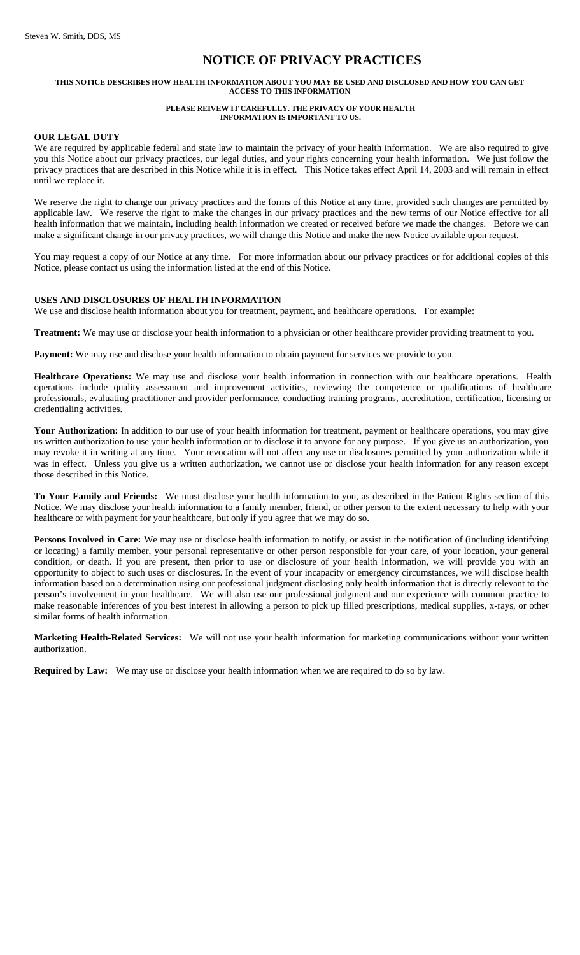# **NOTICE OF PRIVACY PRACTICES**

#### **THIS NOTICE DESCRIBES HOW HEALTH INFORMATION ABOUT YOU MAY BE USED AND DISCLOSED AND HOW YOU CAN GET ACCESS TO THIS INFORMATION**

#### **PLEASE REIVEW IT CAREFULLY. THE PRIVACY OF YOUR HEALTH INFORMATION IS IMPORTANT TO US.**

## **OUR LEGAL DUTY**

We are required by applicable federal and state law to maintain the privacy of your health information. We are also required to give you this Notice about our privacy practices, our legal duties, and your rights concerning your health information. We just follow the privacy practices that are described in this Notice while it is in effect. This Notice takes effect April 14, 2003 and will remain in effect until we replace it.

We reserve the right to change our privacy practices and the forms of this Notice at any time, provided such changes are permitted by applicable law. We reserve the right to make the changes in our privacy practices and the new terms of our Notice effective for all health information that we maintain, including health information we created or received before we made the changes. Before we can make a significant change in our privacy practices, we will change this Notice and make the new Notice available upon request.

You may request a copy of our Notice at any time. For more information about our privacy practices or for additional copies of this Notice, please contact us using the information listed at the end of this Notice.

## **USES AND DISCLOSURES OF HEALTH INFORMATION**

We use and disclose health information about you for treatment, payment, and healthcare operations. For example:

**Treatment:** We may use or disclose your health information to a physician or other healthcare provider providing treatment to you.

Payment: We may use and disclose your health information to obtain payment for services we provide to you.

Healthcare Operations: We may use and disclose your health information in connection with our healthcare operations. Health operations include quality assessment and improvement activities, reviewing the competence or qualifications of healthcare professionals, evaluating practitioner and provider performance, conducting training programs, accreditation, certification, licensing or credentialing activities.

**Your Authorization:** In addition to our use of your health information for treatment, payment or healthcare operations, you may give us written authorization to use your health information or to disclose it to anyone for any purpose. If you give us an authorization, you may revoke it in writing at any time. Your revocation will not affect any use or disclosures permitted by your authorization while it was in effect. Unless you give us a written authorization, we cannot use or disclose your health information for any reason except those described in this Notice.

**To Your Family and Friends:** We must disclose your health information to you, as described in the Patient Rights section of this Notice. We may disclose your health information to a family member, friend, or other person to the extent necessary to help with your healthcare or with payment for your healthcare, but only if you agree that we may do so.

**Persons Involved in Care:** We may use or disclose health information to notify, or assist in the notification of (including identifying or locating) a family member, your personal representative or other person responsible for your care, of your location, your general condition, or death. If you are present, then prior to use or disclosure of your health information, we will provide you with an opportunity to object to such uses or disclosures. In the event of your incapacity or emergency circumstances, we will disclose health information based on a determination using our professional judgment disclosing only health information that is directly relevant to the person's involvement in your healthcare. We will also use our professional judgment and our experience with common practice to make reasonable inferences of you best interest in allowing a person to pick up filled prescriptions, medical supplies, x-rays, or other similar forms of health information.

**Marketing Health-Related Services:** We will not use your health information for marketing communications without your written authorization.

**Required by Law:** We may use or disclose your health information when we are required to do so by law.